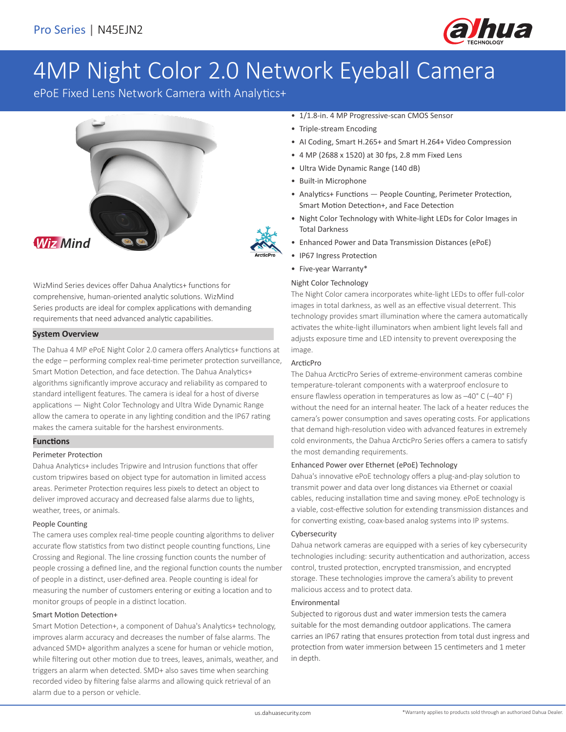

# 4MP Night Color 2.0 Network Eyeball Camera

ePoE Fixed Lens Network Camera with Analytics+



WizMind Series devices offer Dahua Analytics+ functions for comprehensive, human-oriented analytic solutions. WizMind Series products are ideal for complex applications with demanding requirements that need advanced analytic capabilities.

# **System Overview**

The Dahua 4 MP ePoE Night Color 2.0 camera offers Analytics+ functions at the edge – performing complex real-time perimeter protection surveillance, Smart Motion Detection, and face detection. The Dahua Analytics+ algorithms significantly improve accuracy and reliability as compared to standard intelligent features. The camera is ideal for a host of diverse applications — Night Color Technology and Ultra Wide Dynamic Range allow the camera to operate in any lighting condition and the IP67 rating makes the camera suitable for the harshest environments.

# **Functions**

# Perimeter Protection

Dahua Analytics+ includes Tripwire and Intrusion functions that offer custom tripwires based on object type for automation in limited access areas. Perimeter Protection requires less pixels to detect an object to deliver improved accuracy and decreased false alarms due to lights, weather, trees, or animals.

# People Counting

The camera uses complex real-time people counting algorithms to deliver accurate flow statistics from two distinct people counting functions, Line Crossing and Regional. The line crossing function counts the number of people crossing a defined line, and the regional function counts the number of people in a distinct, user-defined area. People counting is ideal for measuring the number of customers entering or exiting a location and to monitor groups of people in a distinct location.

# Smart Motion Detection+

Smart Motion Detection+, a component of Dahua's Analytics+ technology, improves alarm accuracy and decreases the number of false alarms. The advanced SMD+ algorithm analyzes a scene for human or vehicle motion, while filtering out other motion due to trees, leaves, animals, weather, and triggers an alarm when detected. SMD+ also saves time when searching recorded video by filtering false alarms and allowing quick retrieval of an alarm due to a person or vehicle.

- 1/1.8-in. 4 MP Progressive-scan CMOS Sensor
- Triple-stream Encoding
- AI Coding, Smart H.265+ and Smart H.264+ Video Compression
- 4 MP (2688 x 1520) at 30 fps, 2.8 mm Fixed Lens
- Ultra Wide Dynamic Range (140 dB)
- Built-in Microphone
- Analytics+ Functions People Counting, Perimeter Protection, Smart Motion Detection+, and Face Detection
- Night Color Technology with White-light LEDs for Color Images in Total Darkness
- Enhanced Power and Data Transmission Distances (ePoE)
- IP67 Ingress Protection
- Five-year Warranty\*

#### Night Color Technology

The Night Color camera incorporates white-light LEDs to offer full-color images in total darkness, as well as an effective visual deterrent. This technology provides smart illumination where the camera automatically activates the white-light illuminators when ambient light levels fall and adjusts exposure time and LED intensity to prevent overexposing the image.

#### ArcticPro

The Dahua ArcticPro Series of extreme-environment cameras combine temperature-tolerant components with a waterproof enclosure to ensure flawless operation in temperatures as low as –40° C (–40° F) without the need for an internal heater. The lack of a heater reduces the camera's power consumption and saves operating costs. For applications that demand high-resolution video with advanced features in extremely cold environments, the Dahua ArcticPro Series offers a camera to satisfy the most demanding requirements.

#### Enhanced Power over Ethernet (ePoE) Technology

Dahua's innovative ePoE technology offers a plug-and-play solution to transmit power and data over long distances via Ethernet or coaxial cables, reducing installation time and saving money. ePoE technology is a viable, cost-effective solution for extending transmission distances and for converting existing, coax-based analog systems into IP systems.

#### Cybersecurity

Dahua network cameras are equipped with a series of key cybersecurity technologies including: security authentication and authorization, access control, trusted protection, encrypted transmission, and encrypted storage. These technologies improve the camera's ability to prevent malicious access and to protect data.

#### Environmental

Subjected to rigorous dust and water immersion tests the camera suitable for the most demanding outdoor applications. The camera carries an IP67 rating that ensures protection from total dust ingress and protection from water immersion between 15 centimeters and 1 meter in depth.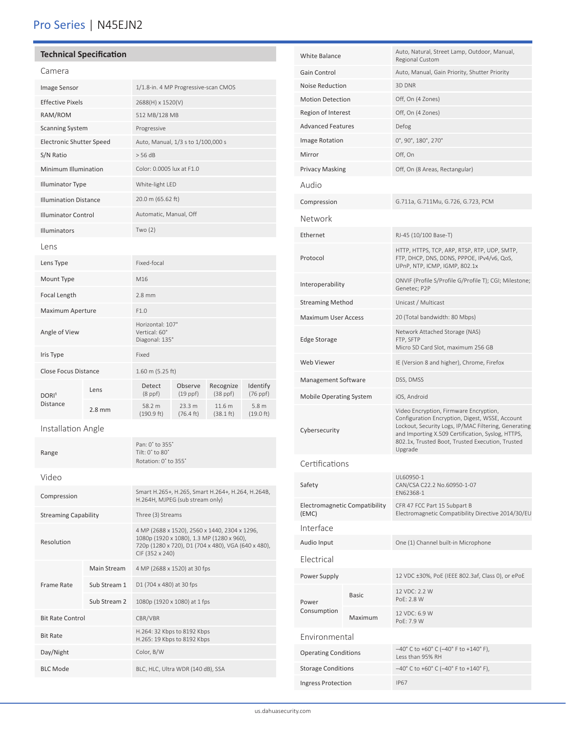# Pro Series | N45EJN2

# **Technical Specification**

Resolution

Frame Rate

Bit Rate Control CBR/VBR

Day/Night Color, B/W

Bit Rate **H.264: 32 Kbps to 8192 Kbps**<br>H.265: 10 Kbps to 8192 Kbps

BLC Mode BLC, HLC, Ultra WDR (140 dB), SSA

| Camera                          |          |                                                                                      |                               |                               |                               |
|---------------------------------|----------|--------------------------------------------------------------------------------------|-------------------------------|-------------------------------|-------------------------------|
| Image Sensor                    |          | 1/1.8-in. 4 MP Progressive-scan CMOS                                                 |                               |                               |                               |
| <b>Effective Pixels</b>         |          | 2688(H) x 1520(V)                                                                    |                               |                               |                               |
| RAM/ROM                         |          | 512 MB/128 MB                                                                        |                               |                               |                               |
| <b>Scanning System</b>          |          | Progressive                                                                          |                               |                               |                               |
| <b>Electronic Shutter Speed</b> |          | Auto, Manual, 1/3 s to 1/100,000 s                                                   |                               |                               |                               |
| S/N Ratio                       |          | > 56 dB                                                                              |                               |                               |                               |
| Minimum Illumination            |          | Color: 0.0005 lux at F1.0                                                            |                               |                               |                               |
| <b>Illuminator Type</b>         |          | White-light LED                                                                      |                               |                               |                               |
| <b>Illumination Distance</b>    |          | 20.0 m (65.62 ft)                                                                    |                               |                               |                               |
| <b>Illuminator Control</b>      |          | Automatic, Manual, Off                                                               |                               |                               |                               |
| Illuminators                    |          | Two $(2)$                                                                            |                               |                               |                               |
| Lens                            |          |                                                                                      |                               |                               |                               |
| Lens Type                       |          | Fixed-focal                                                                          |                               |                               |                               |
| Mount Type                      |          | M16                                                                                  |                               |                               |                               |
| Focal Length                    |          | $2.8$ mm                                                                             |                               |                               |                               |
| Maximum Aperture                |          | F1.0                                                                                 |                               |                               |                               |
| Angle of View                   |          | Horizontal: 107°<br>Vertical: 60°<br>Diagonal: 135°                                  |                               |                               |                               |
| Iris Type                       |          | Fixed                                                                                |                               |                               |                               |
| <b>Close Focus Distance</b>     |          | 1.60 m (5.25 ft)                                                                     |                               |                               |                               |
| DORI <sup>1</sup>               | Lens     | Detect<br>$(8$ ppf $)$                                                               | Observe<br>$(19$ ppf $)$      | Recognize<br>$(38$ ppf $)$    | Identify<br>$(76$ ppf $)$     |
| <b>Distance</b>                 | $2.8$ mm | 58.2 m<br>$(190.9 \text{ ft})$                                                       | 23.3 m<br>$(76.4 \text{ ft})$ | 11.6 m<br>$(38.1 \text{ ft})$ | 5.8 <sub>m</sub><br>(19.0 ft) |
| Installation Angle              |          |                                                                                      |                               |                               |                               |
| Range                           |          | Pan: 0° to 355°<br>Tilt: 0° to 80°<br>Rotation: 0° to 355°                           |                               |                               |                               |
| Video                           |          |                                                                                      |                               |                               |                               |
| Compression                     |          | Smart H.265+, H.265, Smart H.264+, H.264, H.264B,<br>H.264H, MJPEG (sub stream only) |                               |                               |                               |
| <b>Streaming Capability</b>     |          | Three (3) Streams                                                                    |                               |                               |                               |

4 MP (2688 x 1520), 2560 x 1440, 2304 x 1296, 1080p (1920 x 1080), 1.3 MP (1280 x 960), 720p (1280 x 720), D1 (704 x 480), VGA (640 x 480),

CIF (352 x 240)

H.265: 19 Kbps to 8192 Kbps

Main Stream 4 MP (2688 x 1520) at 30 fps Sub Stream 1 D1 (704 x 480) at 30 fps Sub Stream 2 1080p (1920 x 1080) at 1 fps

| White Balance                          |              | Regional Custom                                                                                                                                                                                                                                                       |  |  |
|----------------------------------------|--------------|-----------------------------------------------------------------------------------------------------------------------------------------------------------------------------------------------------------------------------------------------------------------------|--|--|
| Gain Control                           |              | Auto, Manual, Gain Priority, Shutter Priority                                                                                                                                                                                                                         |  |  |
| <b>Noise Reduction</b>                 |              | 3D DNR                                                                                                                                                                                                                                                                |  |  |
| <b>Motion Detection</b>                |              | Off, On (4 Zones)                                                                                                                                                                                                                                                     |  |  |
| Region of Interest                     |              | Off, On (4 Zones)                                                                                                                                                                                                                                                     |  |  |
| <b>Advanced Features</b>               |              | Defog                                                                                                                                                                                                                                                                 |  |  |
| <b>Image Rotation</b>                  |              | 0°, 90°, 180°, 270°                                                                                                                                                                                                                                                   |  |  |
| Mirror                                 |              | Off, On                                                                                                                                                                                                                                                               |  |  |
| <b>Privacy Masking</b>                 |              | Off, On (8 Areas, Rectangular)                                                                                                                                                                                                                                        |  |  |
| Audio                                  |              |                                                                                                                                                                                                                                                                       |  |  |
| Compression                            |              | G.711a, G.711Mu, G.726, G.723, PCM                                                                                                                                                                                                                                    |  |  |
| Network                                |              |                                                                                                                                                                                                                                                                       |  |  |
| Ethernet                               |              | RJ-45 (10/100 Base-T)                                                                                                                                                                                                                                                 |  |  |
| Protocol                               |              | HTTP, HTTPS, TCP, ARP, RTSP, RTP, UDP, SMTP,<br>FTP, DHCP, DNS, DDNS, PPPOE, IPv4/v6, QoS,<br>UPnP, NTP, ICMP, IGMP, 802.1x                                                                                                                                           |  |  |
| Interoperability                       |              | ONVIF (Profile S/Profile G/Profile T); CGI; Milestone;<br>Genetec; P2P                                                                                                                                                                                                |  |  |
| <b>Streaming Method</b>                |              | Unicast / Multicast                                                                                                                                                                                                                                                   |  |  |
| <b>Maximum User Access</b>             |              | 20 (Total bandwidth: 80 Mbps)                                                                                                                                                                                                                                         |  |  |
| <b>Edge Storage</b>                    |              | Network Attached Storage (NAS)<br>FTP, SFTP<br>Micro SD Card Slot, maximum 256 GB                                                                                                                                                                                     |  |  |
| Web Viewer                             |              | IE (Version 8 and higher), Chrome, Firefox                                                                                                                                                                                                                            |  |  |
| Management Software                    |              | DSS, DMSS                                                                                                                                                                                                                                                             |  |  |
| <b>Mobile Operating System</b>         |              | iOS, Android                                                                                                                                                                                                                                                          |  |  |
| Cybersecurity                          |              | Video Encryption, Firmware Encryption,<br>Configuration Encryption, Digest, WSSE, Account<br>Lockout, Security Logs, IP/MAC Filtering, Generating<br>and Importing X.509 Certification, Syslog, HTTPS,<br>802.1x, Trusted Boot, Trusted Execution, Trusted<br>Upgrade |  |  |
| Certifications                         |              |                                                                                                                                                                                                                                                                       |  |  |
| Safety                                 |              | UL60950-1<br>CAN/CSA C22.2 No.60950-1-07<br>EN62368-1                                                                                                                                                                                                                 |  |  |
| Electromagnetic Compatibility<br>(EMC) |              | CFR 47 FCC Part 15 Subpart B<br>Electromagnetic Compatibility Directive 2014/30/EU                                                                                                                                                                                    |  |  |
| Interface                              |              |                                                                                                                                                                                                                                                                       |  |  |
| Audio Input                            |              | One (1) Channel built-in Microphone                                                                                                                                                                                                                                   |  |  |
| Electrical                             |              |                                                                                                                                                                                                                                                                       |  |  |
| Power Supply                           |              | 12 VDC ±30%, PoE (IEEE 802.3af, Class 0), or ePoE                                                                                                                                                                                                                     |  |  |
| Power<br>Consumption                   | <b>Basic</b> | 12 VDC: 2.2 W<br>PoE: 2.8 W                                                                                                                                                                                                                                           |  |  |
|                                        | Maximum      | 12 VDC: 6.9 W<br>PoE: 7.9 W                                                                                                                                                                                                                                           |  |  |
| Environmental                          |              |                                                                                                                                                                                                                                                                       |  |  |
| <b>Operating Conditions</b>            |              | $-40^{\circ}$ C to +60° C (-40° F to +140° F),<br>Less than 95% RH                                                                                                                                                                                                    |  |  |
| <b>Storage Conditions</b>              |              | $-40^{\circ}$ C to +60° C (-40° F to +140° F),                                                                                                                                                                                                                        |  |  |
| Ingress Protection                     |              | <b>IP67</b>                                                                                                                                                                                                                                                           |  |  |

White Balance **Auto, Natural, Street Lamp, Outdoor, Manual,** Periodic Persianal Custom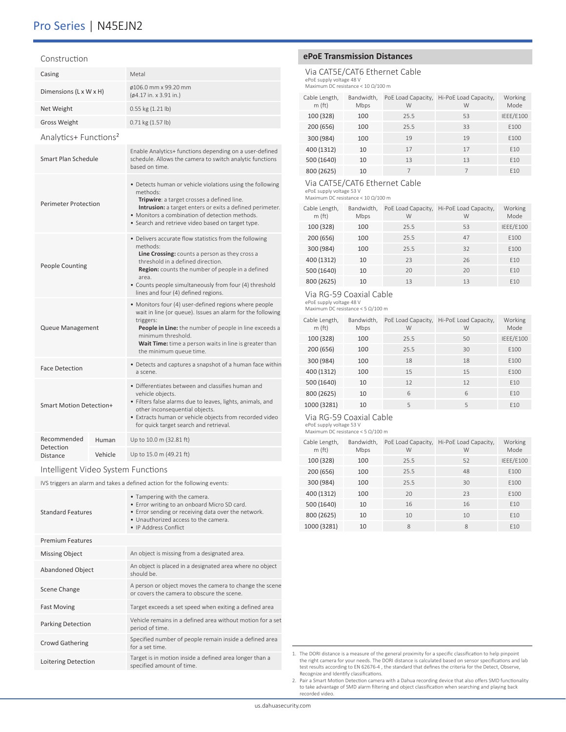# Pro Series | N45EJN2

#### Construction

| Casing                                  |       | Metal                                                                                                                                                                                                                                                                                                                          |  |  |
|-----------------------------------------|-------|--------------------------------------------------------------------------------------------------------------------------------------------------------------------------------------------------------------------------------------------------------------------------------------------------------------------------------|--|--|
| Dimensions (L x W x H)                  |       | ø106.0 mm x 99.20 mm<br>$(64.17 \text{ in.} \times 3.91 \text{ in.})$                                                                                                                                                                                                                                                          |  |  |
| Net Weight                              |       | 0.55 kg (1.21 lb)                                                                                                                                                                                                                                                                                                              |  |  |
| <b>Gross Weight</b>                     |       | $0.71$ kg $(1.57$ lb)                                                                                                                                                                                                                                                                                                          |  |  |
| Analytics+ Functions <sup>2</sup>       |       |                                                                                                                                                                                                                                                                                                                                |  |  |
| Smart Plan Schedule                     |       | Enable Analytics+ functions depending on a user-defined<br>schedule. Allows the camera to switch analytic functions<br>based on time.                                                                                                                                                                                          |  |  |
| <b>Perimeter Protection</b>             |       | • Detects human or vehicle violations using the following<br>methods:<br>Tripwire: a target crosses a defined line.<br>Intrusion: a target enters or exits a defined perimeter.<br>• Monitors a combination of detection methods.<br>• Search and retrieve video based on target type.                                         |  |  |
| <b>People Counting</b>                  |       | • Delivers accurate flow statistics from the following<br>methods:<br><b>Line Crossing:</b> counts a person as they cross a<br>threshold in a defined direction.<br>Region: counts the number of people in a defined<br>area.<br>• Counts people simultaneously from four (4) threshold<br>lines and four (4) defined regions. |  |  |
| Queue Management                        |       | • Monitors four (4) user-defined regions where people<br>wait in line (or queue). Issues an alarm for the following<br>triggers:<br>People in Line: the number of people in line exceeds a<br>minimum threshold.<br>Wait Time: time a person waits in line is greater than<br>the minimum queue time.                          |  |  |
| <b>Face Detection</b>                   |       | • Detects and captures a snapshot of a human face within<br>a scene.                                                                                                                                                                                                                                                           |  |  |
| <b>Smart Motion Detection+</b>          |       | • Differentiates between and classifies human and<br>vehicle objects.<br>· Filters false alarms due to leaves, lights, animals, and<br>other inconsequential objects.<br>• Extracts human or vehicle objects from recorded video<br>for quick target search and retrieval.                                                     |  |  |
| Recommended                             | Human | Up to 10.0 m (32.81 ft)                                                                                                                                                                                                                                                                                                        |  |  |
| Detection<br>Vehicle<br><b>Distance</b> |       | Up to 15.0 m (49.21 ft)                                                                                                                                                                                                                                                                                                        |  |  |

## Intelligent Video System Functions

IVS triggers an alarm and takes a defined action for the following events:

| <b>Standard Features</b> | • Tampering with the camera.<br>• Error writing to an onboard Micro SD card.<br>• Error sending or receiving data over the network.<br>• Unauthorized access to the camera.<br>• IP Address Conflict |
|--------------------------|------------------------------------------------------------------------------------------------------------------------------------------------------------------------------------------------------|
| <b>Premium Features</b>  |                                                                                                                                                                                                      |
| <b>Missing Object</b>    | An object is missing from a designated area.                                                                                                                                                         |
| <b>Abandoned Object</b>  | An object is placed in a designated area where no object<br>should be.                                                                                                                               |
| Scene Change             | A person or object moves the camera to change the scene<br>or covers the camera to obscure the scene.                                                                                                |
| <b>Fast Moving</b>       | Target exceeds a set speed when exiting a defined area                                                                                                                                               |
| <b>Parking Detection</b> | Vehicle remains in a defined area without motion for a set<br>period of time.                                                                                                                        |
| <b>Crowd Gathering</b>   | Specified number of people remain inside a defined area<br>for a set time.                                                                                                                           |
| Loitering Detection      | Target is in motion inside a defined area longer than a<br>specified amount of time.                                                                                                                 |

# **ePoE Transmission Distances**

# Via CAT5E/CAT6 Ethernet Cable ePoE supply voltage 48 V Maximum DC resistance < 10 Ω/100 m

| Cable Length,<br>m(ft) | Bandwidth,<br>Mbps | PoE Load Capacity,<br>W | Hi-PoE Load Capacity,<br>W | Working<br>Mode |
|------------------------|--------------------|-------------------------|----------------------------|-----------------|
| 100 (328)              | 100                | 25.5                    | 53                         | IEEE/E100       |
| 200 (656)              | 100                | 25.5                    | 33                         | E100            |
| 300 (984)              | 100                | 19                      | 19                         | E100            |
| 400 (1312)             | 10                 | 17                      | 17                         | F <sub>10</sub> |
| 500 (1640)             | 10                 | 13                      | 13                         | F <sub>10</sub> |
| 800 (2625)             | 10                 |                         | $\overline{7}$             | F <sub>10</sub> |

# Via CAT5E/CAT6 Ethernet Cable

ePoE supply voltage 53 V Maximum DC resistance < 10 Ω/100 m

| Cable Length,<br>m(ft) | Bandwidth,<br>Mbps | PoE Load Capacity,<br>W | Hi-PoE Load Capacity,<br>W | Working<br>Mode |
|------------------------|--------------------|-------------------------|----------------------------|-----------------|
| 100 (328)              | 100                | 25.5                    | 53                         | IEEE/E100       |
| 200 (656)              | 100                | 25.5                    | 47                         | E100            |
| 300 (984)              | 100                | 25.5                    | 32                         | E100            |
| 400 (1312)             | 10                 | 23                      | 26                         | F <sub>10</sub> |
| 500 (1640)             | 10                 | 20                      | 20                         | F <sub>10</sub> |
| 800 (2625)             | 10                 | 13                      | 13                         | F <sub>10</sub> |

# Via RG-59 Coaxial Cable

ePoE supply voltage 48 V Maximum DC resistance < 5 Ω/100 m

| Cable Length,<br>m(ft) | Bandwidth,<br>Mbps | PoE Load Capacity,<br>W | Hi-PoE Load Capacity,<br>W | Working<br>Mode |
|------------------------|--------------------|-------------------------|----------------------------|-----------------|
| 100 (328)              | 100                | 25.5                    | 50                         | IEEE/E100       |
| 200 (656)              | 100                | 25.5                    | 30                         | E100            |
| 300 (984)              | 100                | 18                      | 18                         | E100            |
| 400 (1312)             | 100                | 15                      | 15                         | F100            |
| 500 (1640)             | 10                 | 12                      | 12                         | F <sub>10</sub> |
| 800 (2625)             | 10                 | 6                       | 6                          | F <sub>10</sub> |
| 1000 (3281)            | 10                 | 5                       | 5                          | F <sub>10</sub> |

# Via RG-59 Coaxial Cable

ePoE supply voltage 53 V Maximum DC resistance < 5 Ω/100 m

| Cable Length,<br>m(ft) | Bandwidth,<br>Mbps | PoE Load Capacity,<br>W | Hi-PoE Load Capacity,<br>W | Working<br>Mode  |
|------------------------|--------------------|-------------------------|----------------------------|------------------|
| 100 (328)              | 100                | 25.5                    | 52                         | IEEE/E100        |
| 200 (656)              | 100                | 25.5                    | 48                         | F <sub>100</sub> |
| 300 (984)              | 100                | 25.5                    | 30                         | F <sub>100</sub> |
| 400 (1312)             | 100                | 20                      | 23                         | F100             |
| 500 (1640)             | 10                 | 16                      | 16                         | F <sub>10</sub>  |
| 800 (2625)             | 10                 | 10                      | 10                         | F <sub>10</sub>  |
| 1000 (3281)            | 10                 | 8                       | 8                          | F <sub>10</sub>  |

1. The DORI distance is a measure of the general proximity for a specific classification to help pinpoint the right camera for your needs. The DORI distance is calculated based on sensor specifications and lab test results according to EN 62676-4 , the standard that defines the criteria for the Detect, Observe, Recognize and Identify classifications.

2. Pair a Smart Motion Detection camera with a Dahua recording device that also offers SMD functionality to take advantage of SMD alarm filtering and object classification when searching and playing back recorded video.

us.dahuasecurity.com